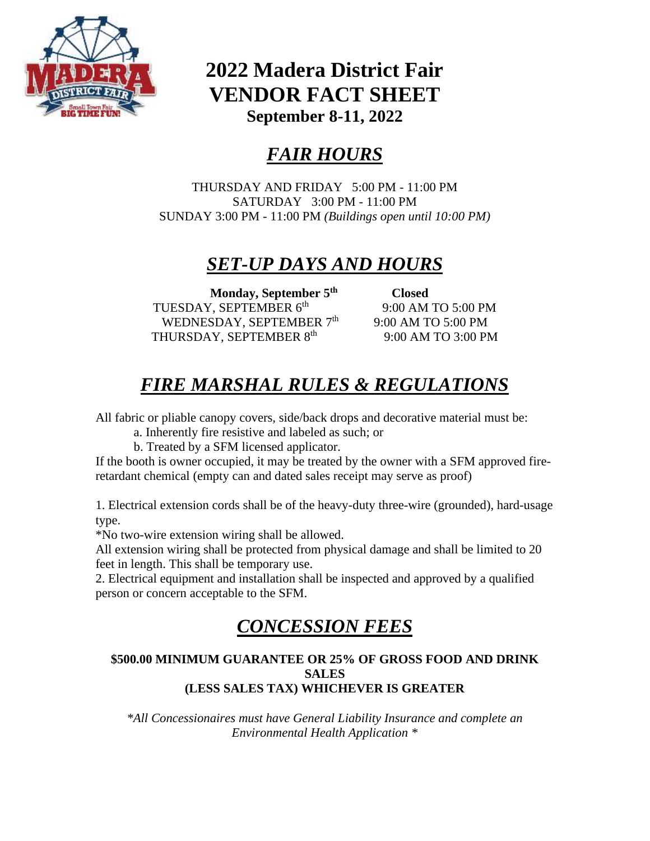

### **2022 Madera District Fair VENDOR FACT SHEET September 8-11, 2022**

# *FAIR HOURS*

THURSDAY AND FRIDAY 5:00 PM - 11:00 PM SATURDAY 3:00 PM - 11:00 PM SUNDAY 3:00 PM - 11:00 PM *(Buildings open until 10:00 PM)*

### *SET-UP DAYS AND HOURS*

**Monday, September 5th** TUESDAY, SEPTEMBER 6<sup>th</sup> WEDNESDAY, SEPTEMBER 7<sup>th</sup> THURSDAY, SEPTEMBER 8<sup>th</sup>

 **Closed** 9:00 AM TO 5:00 PM 9:00 AM TO 5:00 PM 9:00 AM TO 3:00 PM

## *FIRE MARSHAL RULES & REGULATIONS*

All fabric or pliable canopy covers, side/back drops and decorative material must be:

a. Inherently fire resistive and labeled as such; or

b. Treated by a SFM licensed applicator.

If the booth is owner occupied, it may be treated by the owner with a SFM approved fireretardant chemical (empty can and dated sales receipt may serve as proof)

1. Electrical extension cords shall be of the heavy-duty three-wire (grounded), hard-usage type.

\*No two-wire extension wiring shall be allowed.

All extension wiring shall be protected from physical damage and shall be limited to 20 feet in length. This shall be temporary use.

2. Electrical equipment and installation shall be inspected and approved by a qualified person or concern acceptable to the SFM.

### *CONCESSION FEES*

#### **\$500.00 MINIMUM GUARANTEE OR 25% OF GROSS FOOD AND DRINK SALES (LESS SALES TAX) WHICHEVER IS GREATER**

*\*All Concessionaires must have General Liability Insurance and complete an Environmental Health Application \**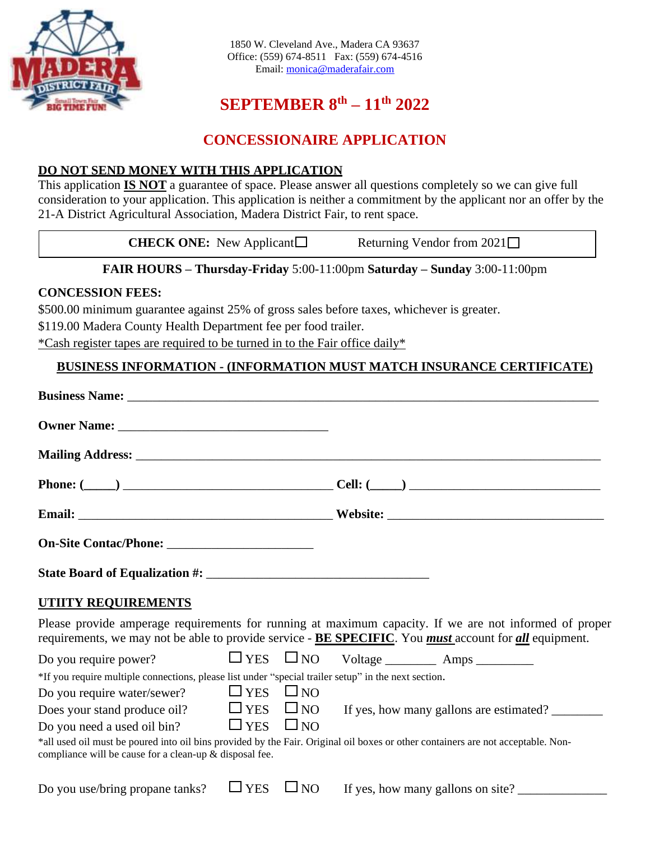

### **SEPTEMBER 8 th – 11 th 2022**

### **CONCESSIONAIRE APPLICATION**

#### **DO NOT SEND MONEY WITH THIS APPLICATION**

This application **IS NOT** a guarantee of space. Please answer all questions completely so we can give full consideration to your application. This application is neither a commitment by the applicant nor an offer by the 21-A District Agricultural Association, Madera District Fair, to rent space.

| <b>CHECK ONE:</b> New Applicant $\Box$ | Returning Vendor from $2021\Box$ |
|----------------------------------------|----------------------------------|
|                                        |                                  |

#### **FAIR HOURS – Thursday-Friday** 5:00-11:00pm **Saturday – Sunday** 3:00-11:00pm

#### **CONCESSION FEES:**

\$500.00 minimum guarantee against 25% of gross sales before taxes, whichever is greater.

\$119.00 Madera County Health Department fee per food trailer.

\*Cash register tapes are required to be turned in to the Fair office daily\*

#### **BUSINESS INFORMATION - (INFORMATION MUST MATCH INSURANCE CERTIFICATE)**

| <b>UTIITY REQUIREMENTS</b>                                                                           |            |              |                                                                                                                                                                                                                                        |
|------------------------------------------------------------------------------------------------------|------------|--------------|----------------------------------------------------------------------------------------------------------------------------------------------------------------------------------------------------------------------------------------|
|                                                                                                      |            |              | Please provide amperage requirements for running at maximum capacity. If we are not informed of proper<br>requirements, we may not be able to provide service - <b>BE SPECIFIC</b> . You <i>must</i> account for <i>all</i> equipment. |
| Do you require power?                                                                                |            |              |                                                                                                                                                                                                                                        |
| *If you require multiple connections, please list under "special trailer setup" in the next section. |            |              |                                                                                                                                                                                                                                        |
| Do you require water/sewer? $\Box$ YES $\Box$ NO                                                     |            |              |                                                                                                                                                                                                                                        |
| Does your stand produce oil? $\Box$ YES $\Box$ NO                                                    |            |              | If yes, how many gallons are estimated?                                                                                                                                                                                                |
| Do you need a used oil bin?                                                                          | $\Box$ YES | $\square$ NO |                                                                                                                                                                                                                                        |
| compliance will be cause for a clean-up & disposal fee.                                              |            |              | *all used oil must be poured into oil bins provided by the Fair. Original oil boxes or other containers are not acceptable. Non-                                                                                                       |
| Do you use/bring propane tanks?                                                                      | <b>YES</b> | $\Box$ NO    | If yes, how many gallons on site?                                                                                                                                                                                                      |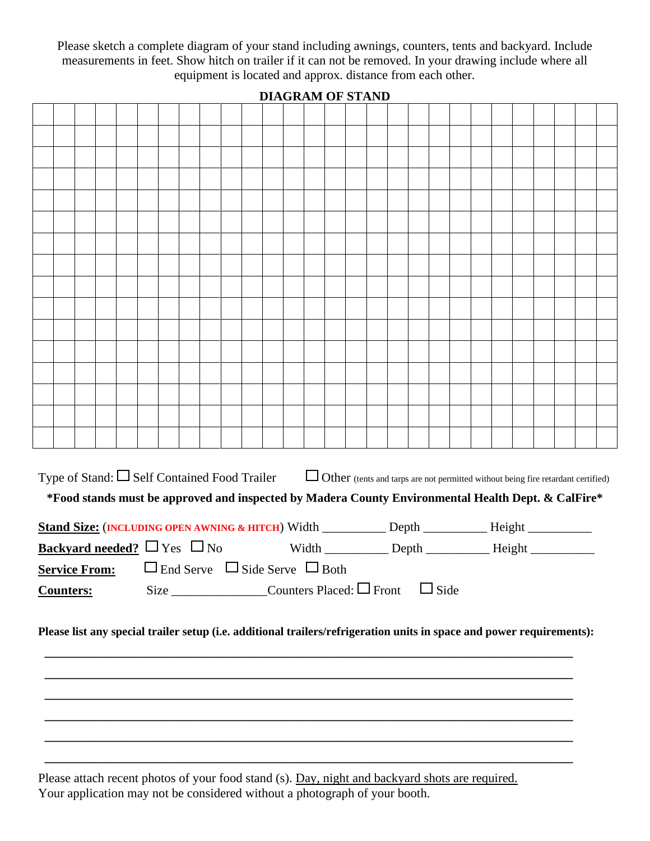Please sketch a complete diagram of your stand including awnings, counters, tents and backyard. Include measurements in feet. Show hitch on trailer if it can not be removed. In your drawing include where all equipment is located and approx. distance from each other.

| *Food stands must be approved and inspected by Madera County Environmental Health Dept. & CalFire*<br>Stand Size: (INCLUDING OPEN AWNING & HITCH) Width _________ Depth ________ Height ________<br>Width _______________ Depth ______________________ Height ______________________<br><b>Backyard needed?</b> $\Box$ Yes $\Box$ No<br><b>Service From:</b> $\Box$ End Serve $\Box$ Side Serve $\Box$ Both<br>Size $\Box$ Counters Placed: $\Box$ Front<br>$\Box$ Side<br><b>Counters:</b><br>Please list any special trailer setup (i.e. additional trailers/refrigeration units in space and power requirements): |  |                                                                                                                                           |  |  |  |  |  |  |  |  |  |  |  |  |  |  |  |  |  |  |
|----------------------------------------------------------------------------------------------------------------------------------------------------------------------------------------------------------------------------------------------------------------------------------------------------------------------------------------------------------------------------------------------------------------------------------------------------------------------------------------------------------------------------------------------------------------------------------------------------------------------|--|-------------------------------------------------------------------------------------------------------------------------------------------|--|--|--|--|--|--|--|--|--|--|--|--|--|--|--|--|--|--|
|                                                                                                                                                                                                                                                                                                                                                                                                                                                                                                                                                                                                                      |  |                                                                                                                                           |  |  |  |  |  |  |  |  |  |  |  |  |  |  |  |  |  |  |
|                                                                                                                                                                                                                                                                                                                                                                                                                                                                                                                                                                                                                      |  |                                                                                                                                           |  |  |  |  |  |  |  |  |  |  |  |  |  |  |  |  |  |  |
|                                                                                                                                                                                                                                                                                                                                                                                                                                                                                                                                                                                                                      |  |                                                                                                                                           |  |  |  |  |  |  |  |  |  |  |  |  |  |  |  |  |  |  |
|                                                                                                                                                                                                                                                                                                                                                                                                                                                                                                                                                                                                                      |  |                                                                                                                                           |  |  |  |  |  |  |  |  |  |  |  |  |  |  |  |  |  |  |
|                                                                                                                                                                                                                                                                                                                                                                                                                                                                                                                                                                                                                      |  |                                                                                                                                           |  |  |  |  |  |  |  |  |  |  |  |  |  |  |  |  |  |  |
|                                                                                                                                                                                                                                                                                                                                                                                                                                                                                                                                                                                                                      |  |                                                                                                                                           |  |  |  |  |  |  |  |  |  |  |  |  |  |  |  |  |  |  |
|                                                                                                                                                                                                                                                                                                                                                                                                                                                                                                                                                                                                                      |  |                                                                                                                                           |  |  |  |  |  |  |  |  |  |  |  |  |  |  |  |  |  |  |
|                                                                                                                                                                                                                                                                                                                                                                                                                                                                                                                                                                                                                      |  |                                                                                                                                           |  |  |  |  |  |  |  |  |  |  |  |  |  |  |  |  |  |  |
|                                                                                                                                                                                                                                                                                                                                                                                                                                                                                                                                                                                                                      |  |                                                                                                                                           |  |  |  |  |  |  |  |  |  |  |  |  |  |  |  |  |  |  |
|                                                                                                                                                                                                                                                                                                                                                                                                                                                                                                                                                                                                                      |  |                                                                                                                                           |  |  |  |  |  |  |  |  |  |  |  |  |  |  |  |  |  |  |
|                                                                                                                                                                                                                                                                                                                                                                                                                                                                                                                                                                                                                      |  |                                                                                                                                           |  |  |  |  |  |  |  |  |  |  |  |  |  |  |  |  |  |  |
|                                                                                                                                                                                                                                                                                                                                                                                                                                                                                                                                                                                                                      |  |                                                                                                                                           |  |  |  |  |  |  |  |  |  |  |  |  |  |  |  |  |  |  |
|                                                                                                                                                                                                                                                                                                                                                                                                                                                                                                                                                                                                                      |  |                                                                                                                                           |  |  |  |  |  |  |  |  |  |  |  |  |  |  |  |  |  |  |
|                                                                                                                                                                                                                                                                                                                                                                                                                                                                                                                                                                                                                      |  |                                                                                                                                           |  |  |  |  |  |  |  |  |  |  |  |  |  |  |  |  |  |  |
|                                                                                                                                                                                                                                                                                                                                                                                                                                                                                                                                                                                                                      |  |                                                                                                                                           |  |  |  |  |  |  |  |  |  |  |  |  |  |  |  |  |  |  |
|                                                                                                                                                                                                                                                                                                                                                                                                                                                                                                                                                                                                                      |  |                                                                                                                                           |  |  |  |  |  |  |  |  |  |  |  |  |  |  |  |  |  |  |
|                                                                                                                                                                                                                                                                                                                                                                                                                                                                                                                                                                                                                      |  | Type of Stand: $\Box$ Self Contained Food Trailer $\Box$ Other (tents and tarps are not permitted without being fire retardant certified) |  |  |  |  |  |  |  |  |  |  |  |  |  |  |  |  |  |  |
|                                                                                                                                                                                                                                                                                                                                                                                                                                                                                                                                                                                                                      |  |                                                                                                                                           |  |  |  |  |  |  |  |  |  |  |  |  |  |  |  |  |  |  |
|                                                                                                                                                                                                                                                                                                                                                                                                                                                                                                                                                                                                                      |  |                                                                                                                                           |  |  |  |  |  |  |  |  |  |  |  |  |  |  |  |  |  |  |
|                                                                                                                                                                                                                                                                                                                                                                                                                                                                                                                                                                                                                      |  |                                                                                                                                           |  |  |  |  |  |  |  |  |  |  |  |  |  |  |  |  |  |  |
|                                                                                                                                                                                                                                                                                                                                                                                                                                                                                                                                                                                                                      |  |                                                                                                                                           |  |  |  |  |  |  |  |  |  |  |  |  |  |  |  |  |  |  |
|                                                                                                                                                                                                                                                                                                                                                                                                                                                                                                                                                                                                                      |  |                                                                                                                                           |  |  |  |  |  |  |  |  |  |  |  |  |  |  |  |  |  |  |
|                                                                                                                                                                                                                                                                                                                                                                                                                                                                                                                                                                                                                      |  |                                                                                                                                           |  |  |  |  |  |  |  |  |  |  |  |  |  |  |  |  |  |  |

**DIAGRAM OF STAND**

Please attach recent photos of your food stand (s). Day, night and backyard shots are required. Your application may not be considered without a photograph of your booth.

**\_\_\_\_\_\_\_\_\_\_\_\_\_\_\_\_\_\_\_\_\_\_\_\_\_\_\_\_\_\_\_\_\_\_\_\_\_\_\_\_\_\_\_\_\_\_\_\_\_\_\_\_\_\_\_\_\_\_\_\_\_\_\_\_\_\_\_\_\_\_\_\_\_\_\_\_\_\_\_\_\_\_\_**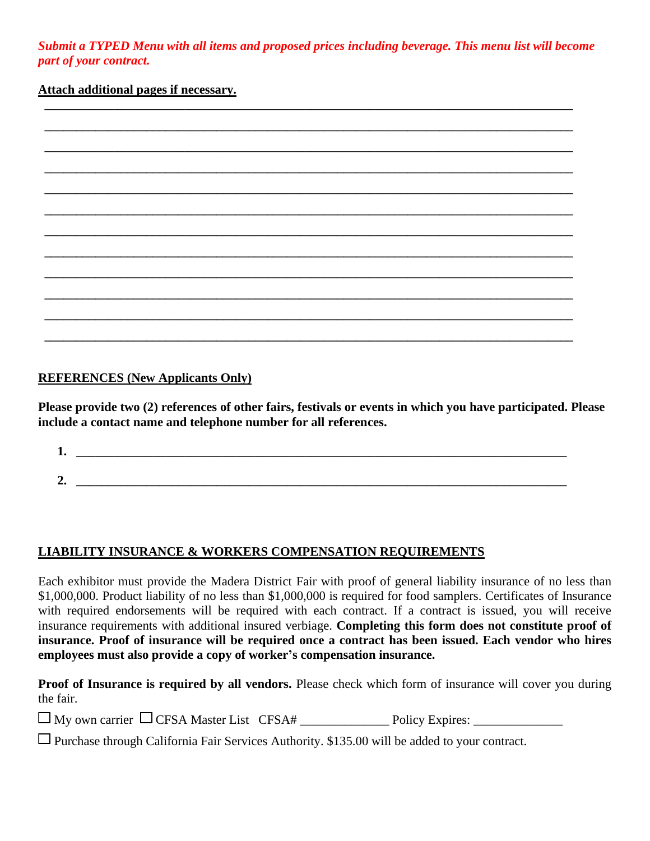*Submit a TYPED Menu with all items and proposed prices including beverage. This menu list will become part of your contract.*

#### **Attach additional pages if necessary.**

#### **REFERENCES (New Applicants Only)**

**Please provide two (2) references of other fairs, festivals or events in which you have participated. Please include a contact name and telephone number for all references.** 

| ı.      |  |  |
|---------|--|--|
|         |  |  |
| ◠<br>∠. |  |  |

#### **LIABILITY INSURANCE & WORKERS COMPENSATION REQUIREMENTS**

Each exhibitor must provide the Madera District Fair with proof of general liability insurance of no less than \$1,000,000. Product liability of no less than \$1,000,000 is required for food samplers. Certificates of Insurance with required endorsements will be required with each contract. If a contract is issued, you will receive insurance requirements with additional insured verbiage. **Completing this form does not constitute proof of insurance. Proof of insurance will be required once a contract has been issued. Each vendor who hires employees must also provide a copy of worker's compensation insurance.**

**Proof of Insurance is required by all vendors.** Please check which form of insurance will cover you during the fair.

|  |  | $\Box$ My own carrier $\Box$ CFSA Master List CFSA# |  | <b>Policy Expires:</b> |
|--|--|-----------------------------------------------------|--|------------------------|
|--|--|-----------------------------------------------------|--|------------------------|

Purchase through California Fair Services Authority. \$135.00 will be added to your contract.